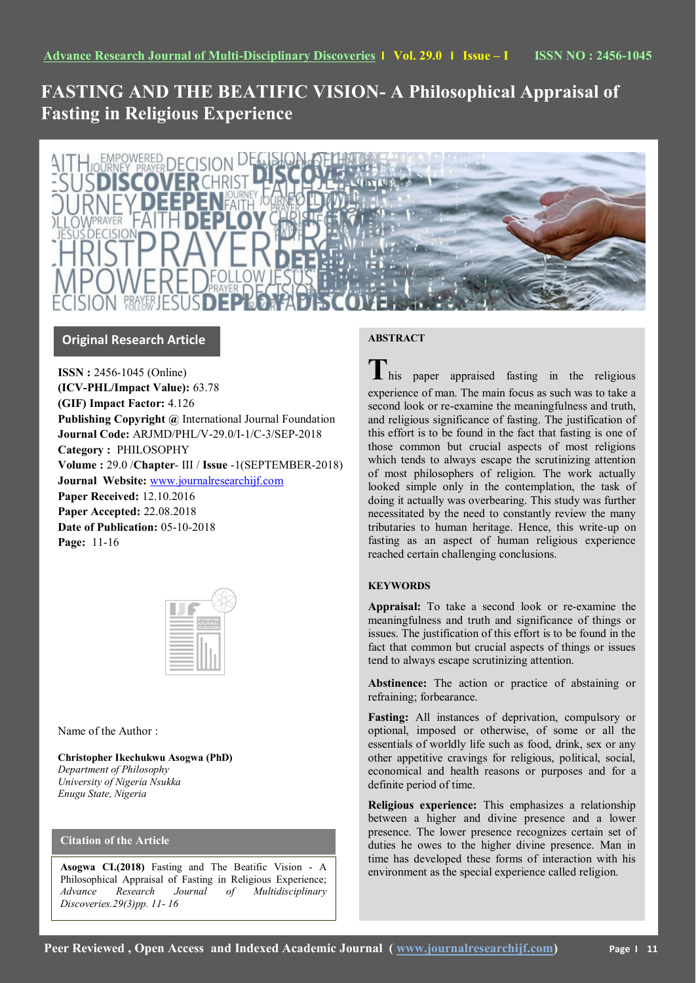# **FASTING AND THE BEATIFIC VISION- A Philosophical Appraisal of Fasting in Religious Experience**



## **Original Research Article**

**ISSN :** 2456-1045 (Online) **(ICV-PHL/Impact Value):** 63.78 **(GIF) Impact Factor:** 4.126 **Publishing Copyright @** International Journal Foundation **Journal Code:** ARJMD/PHL/V-29.0/I-1/C-3/SEP-2018 **Category :** PHILOSOPHY **Volume :** 29.0 /**Chapter**- III / **Issue** -1(SEPTEMBER-2018) **Journal Website:** [www.journalresearchijf.com](http://www.journalresearchijf.com/) **Paper Received:** 12.10.2016 **Paper Accepted:** 22.08.2018 **Date of Publication:** 05-10-2018 **Page:** 11-16

| INTERNATIONAL<br>JOURNAL<br>FOUNDATION |
|----------------------------------------|
|                                        |
|                                        |
|                                        |
|                                        |
|                                        |
|                                        |
|                                        |
|                                        |

## Name of the Author :

**Christopher Ikechukwu Asogwa (PhD)** *Department of Philosophy University of Nigeria Nsukka Enugu State, Nigeria*

## **Citation of the Article**

**Asogwa CI.(2018)** Fasting and The Beatific Vision - A Philosophical Appraisal of Fasting in Religious Experience; *Advance Research Journal of Multidisciplinary Discoveries.29(3)pp. 11- 16*

## **ABSTRACT**

**T**his paper appraised fasting in the religious experience of man. The main focus as such was to take a second look or re-examine the meaningfulness and truth, and religious significance of fasting. The justification of this effort is to be found in the fact that fasting is one of those common but crucial aspects of most religions which tends to always escape the scrutinizing attention of most philosophers of religion. The work actually looked simple only in the contemplation, the task of doing it actually was overbearing. This study was further necessitated by the need to constantly review the many tributaries to human heritage. Hence, this write-up on fasting as an aspect of human religious experience reached certain challenging conclusions.

## **KEYWORDS**

**Appraisal:** To take a second look or re-examine the meaningfulness and truth and significance of things or issues. The justification of this effort is to be found in the fact that common but crucial aspects of things or issues tend to always escape scrutinizing attention.

**Abstinence:** The action or practice of abstaining or refraining; forbearance.

**Fasting:** All instances of deprivation, compulsory or optional, imposed or otherwise, of some or all the essentials of worldly life such as food, drink, sex or any other appetitive cravings for religious, political, social, economical and health reasons or purposes and for a definite period of time.

**Religious experience:** This emphasizes a relationship between a higher and divine presence and a lower presence. The lower presence recognizes certain set of duties he owes to the higher divine presence. Man in time has developed these forms of interaction with his environment as the special experience called religion.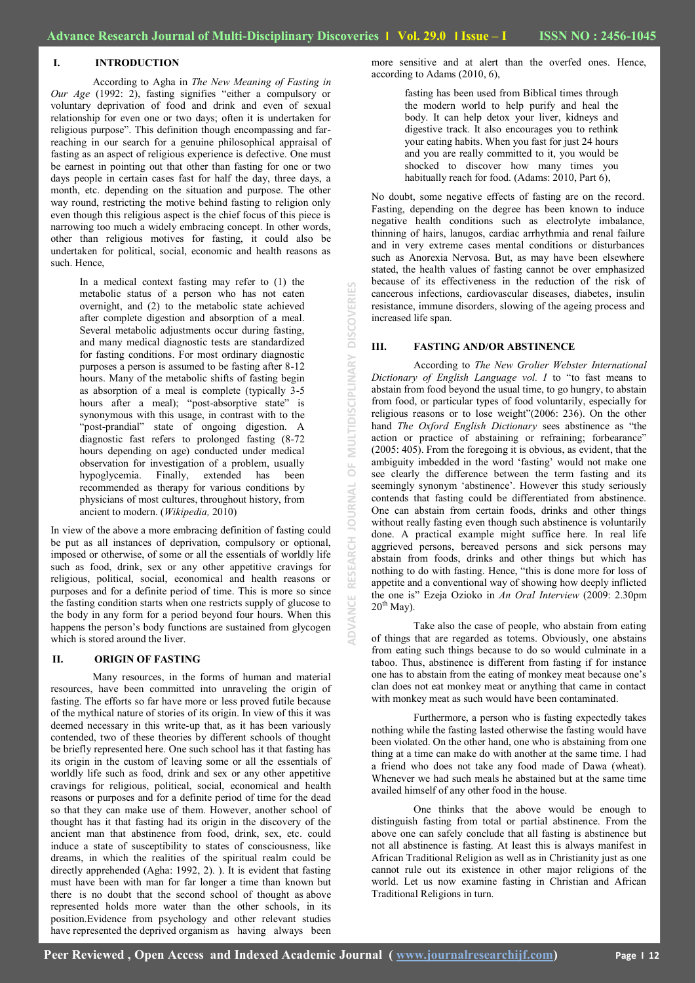### **I. INTRODUCTION**

According to Agha in *The New Meaning of Fasting in Our Age* (1992: 2), fasting signifies "either a compulsory or voluntary deprivation of food and drink and even of sexual relationship for even one or two days; often it is undertaken for religious purpose". This definition though encompassing and farreaching in our search for a genuine philosophical appraisal of fasting as an aspect of religious experience is defective. One must be earnest in pointing out that other than fasting for one or two days people in certain cases fast for half the day, three days, a month, etc. depending on the situation and purpose. The other way round, restricting the motive behind fasting to religion only even though this religious aspect is the chief focus of this piece is narrowing too much a widely embracing concept. In other words, other than religious motives for fasting, it could also be undertaken for political, social, economic and health reasons as such. Hence,

> In a medical context fasting may refer to (1) the metabolic status of a person who has not eaten overnight, and (2) to the metabolic state achieved after complete digestion and absorption of a meal. Several metabolic adjustments occur during fasting, and many medical diagnostic tests are standardized for fasting conditions. For most ordinary diagnostic purposes a person is assumed to be fasting after 8-12 hours. Many of the metabolic shifts of fasting begin as absorption of a meal is complete (typically 3-5 hours after a meal); "post-absorptive state" is synonymous with this usage, in contrast with to the "post-prandial" state of ongoing digestion. A diagnostic fast refers to prolonged fasting (8-72 hours depending on age) conducted under medical observation for investigation of a problem, usually hypoglycemia. Finally, extended has been recommended as therapy for various conditions by physicians of most cultures, throughout history, from ancient to modern. (*Wikipedia,* 2010)

In view of the above a more embracing definition of fasting could be put as all instances of deprivation, compulsory or optional, imposed or otherwise, of some or all the essentials of worldly life such as food, drink, sex or any other appetitive cravings for religious, political, social, economical and health reasons or purposes and for a definite period of time. This is more so since the fasting condition starts when one restricts supply of glucose to the body in any form for a period beyond four hours. When this happens the person"s body functions are sustained from glycogen which is stored around the liver.

#### **II. ORIGIN OF FASTING**

Many resources, in the forms of human and material resources, have been committed into unraveling the origin of fasting. The efforts so far have more or less proved futile because of the mythical nature of stories of its origin. In view of this it was deemed necessary in this write-up that, as it has been variously contended, two of these theories by different schools of thought be briefly represented here. One such school has it that fasting has its origin in the custom of leaving some or all the essentials of worldly life such as food, drink and sex or any other appetitive cravings for religious, political, social, economical and health reasons or purposes and for a definite period of time for the dead so that they can make use of them. However, another school of thought has it that fasting had its origin in the discovery of the ancient man that abstinence from food, drink, sex, etc. could induce a state of susceptibility to states of consciousness, like dreams, in which the realities of the spiritual realm could be directly apprehended (Agha: 1992, 2). ). It is evident that fasting must have been with man for far longer a time than known but there is no doubt that the second school of thought as above represented holds more water than the other schools, in its position.Evidence from psychology and other relevant studies have represented the deprived organism as having always been

fasting has been used from Biblical times through the modern world to help purify and heal the body. It can help detox your liver, kidneys and digestive track. It also encourages you to rethink your eating habits. When you fast for just 24 hours and you are really committed to it, you would be shocked to discover how many times you habitually reach for food. (Adams: 2010, Part 6),

No doubt, some negative effects of fasting are on the record. Fasting, depending on the degree has been known to induce negative health conditions such as electrolyte imbalance, thinning of hairs, lanugos, cardiac arrhythmia and renal failure and in very extreme cases mental conditions or disturbances such as Anorexia Nervosa. But, as may have been elsewhere stated, the health values of fasting cannot be over emphasized because of its effectiveness in the reduction of the risk of cancerous infections, cardiovascular diseases, diabetes, insulin resistance, immune disorders, slowing of the ageing process and increased life span.

#### **III. FASTING AND/OR ABSTINENCE**

**ADVANCE RESEARCH JOURNAL OF MULTIDISCIPLINARY DISCOVERIES**

 $\frac{1}{\mathbf{C}}$ ₹ E

EINM

 $\overline{a}$ 

**DISCOVERI** 

TIDISCIPLINARY

According to *The New Grolier Webster International Dictionary of English Language vol. I* to "to fast means to abstain from food beyond the usual time, to go hungry, to abstain from food, or particular types of food voluntarily, especially for religious reasons or to lose weight"(2006: 236). On the other hand *The Oxford English Dictionary* sees abstinence as "the action or practice of abstaining or refraining; forbearance" (2005: 405). From the foregoing it is obvious, as evident, that the ambiguity imbedded in the word "fasting" would not make one see clearly the difference between the term fasting and its seemingly synonym "abstinence". However this study seriously contends that fasting could be differentiated from abstinence. One can abstain from certain foods, drinks and other things without really fasting even though such abstinence is voluntarily done. A practical example might suffice here. In real life aggrieved persons, bereaved persons and sick persons may abstain from foods, drinks and other things but which has nothing to do with fasting. Hence, "this is done more for loss of appetite and a conventional way of showing how deeply inflicted the one is" Ezeja Ozioko in *An Oral Interview* (2009: 2.30pm  $20^{th}$  May).

Take also the case of people, who abstain from eating of things that are regarded as totems. Obviously, one abstains from eating such things because to do so would culminate in a taboo. Thus, abstinence is different from fasting if for instance one has to abstain from the eating of monkey meat because one"s clan does not eat monkey meat or anything that came in contact with monkey meat as such would have been contaminated.

Furthermore, a person who is fasting expectedly takes nothing while the fasting lasted otherwise the fasting would have been violated. On the other hand, one who is abstaining from one thing at a time can make do with another at the same time. I had a friend who does not take any food made of Dawa (wheat). Whenever we had such meals he abstained but at the same time availed himself of any other food in the house.

One thinks that the above would be enough to distinguish fasting from total or partial abstinence. From the above one can safely conclude that all fasting is abstinence but not all abstinence is fasting. At least this is always manifest in African Traditional Religion as well as in Christianity just as one cannot rule out its existence in other major religions of the world. Let us now examine fasting in Christian and African Traditional Religions in turn.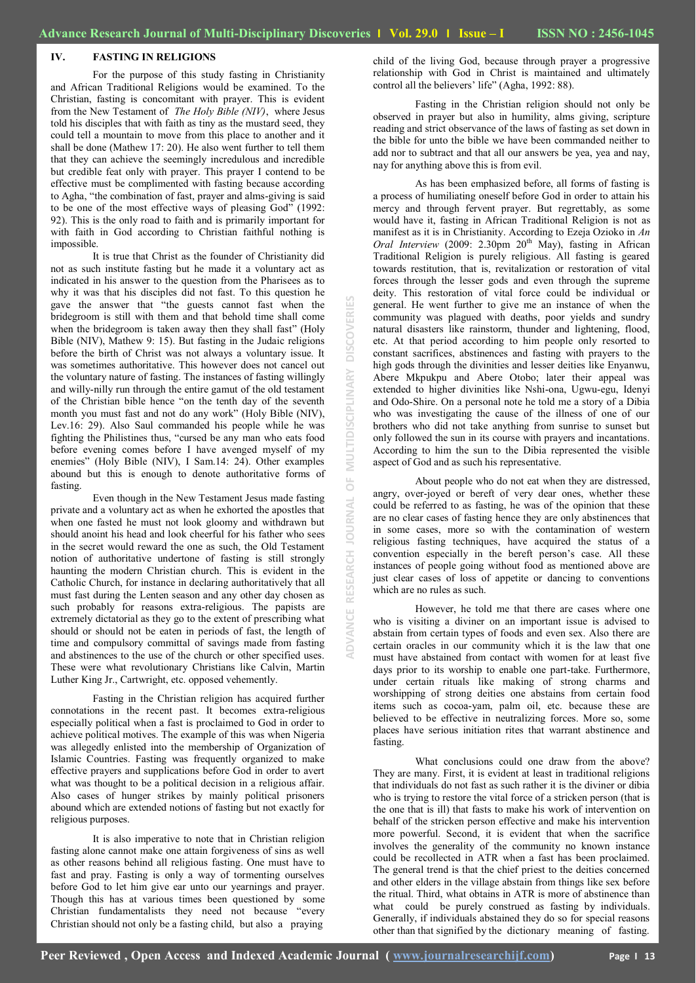**ADVANCE RESEARCH JOURNAL OF MULTIDISCIPLINARY DISCOVERIES**

 $\overline{0}$ 

RNAL

RESEARCH

ANCE

MULTIDISCIPLINA

DISC ř

#### **IV. FASTING IN RELIGIONS**

For the purpose of this study fasting in Christianity and African Traditional Religions would be examined. To the Christian, fasting is concomitant with prayer. This is evident from the New Testament of *The Holy Bible (NIV)*, where Jesus told his disciples that with faith as tiny as the mustard seed, they could tell a mountain to move from this place to another and it shall be done (Mathew 17: 20). He also went further to tell them that they can achieve the seemingly incredulous and incredible but credible feat only with prayer. This prayer I contend to be effective must be complimented with fasting because according to Agha, "the combination of fast, prayer and alms-giving is said to be one of the most effective ways of pleasing God" (1992: 92). This is the only road to faith and is primarily important for with faith in God according to Christian faithful nothing is impossible.

It is true that Christ as the founder of Christianity did not as such institute fasting but he made it a voluntary act as indicated in his answer to the question from the Pharisees as to why it was that his disciples did not fast. To this question he gave the answer that "the guests cannot fast when the bridegroom is still with them and that behold time shall come when the bridegroom is taken away then they shall fast" (Holy Bible (NIV), Mathew 9: 15). But fasting in the Judaic religions before the birth of Christ was not always a voluntary issue. It was sometimes authoritative. This however does not cancel out the voluntary nature of fasting. The instances of fasting willingly and willy-nilly run through the entire gamut of the old testament of the Christian bible hence "on the tenth day of the seventh month you must fast and not do any work" (Holy Bible (NIV), Lev.16: 29). Also Saul commanded his people while he was fighting the Philistines thus, "cursed be any man who eats food before evening comes before I have avenged myself of my enemies" (Holy Bible (NIV), I Sam.14: 24). Other examples abound but this is enough to denote authoritative forms of fasting.

Even though in the New Testament Jesus made fasting private and a voluntary act as when he exhorted the apostles that when one fasted he must not look gloomy and withdrawn but should anoint his head and look cheerful for his father who sees in the secret would reward the one as such, the Old Testament notion of authoritative undertone of fasting is still strongly haunting the modern Christian church. This is evident in the Catholic Church, for instance in declaring authoritatively that all must fast during the Lenten season and any other day chosen as such probably for reasons extra-religious. The papists are extremely dictatorial as they go to the extent of prescribing what should or should not be eaten in periods of fast, the length of time and compulsory committal of savings made from fasting and abstinences to the use of the church or other specified uses. These were what revolutionary Christians like Calvin, Martin Luther King Jr., Cartwright, etc. opposed vehemently.

Fasting in the Christian religion has acquired further connotations in the recent past. It becomes extra-religious especially political when a fast is proclaimed to God in order to achieve political motives. The example of this was when Nigeria was allegedly enlisted into the membership of Organization of Islamic Countries. Fasting was frequently organized to make effective prayers and supplications before God in order to avert what was thought to be a political decision in a religious affair. Also cases of hunger strikes by mainly political prisoners abound which are extended notions of fasting but not exactly for religious purposes.

It is also imperative to note that in Christian religion fasting alone cannot make one attain forgiveness of sins as well as other reasons behind all religious fasting. One must have to fast and pray. Fasting is only a way of tormenting ourselves before God to let him give ear unto our yearnings and prayer. Though this has at various times been questioned by some Christian fundamentalists they need not because "every Christian should not only be a fasting child, but also a praying

child of the living God, because through prayer a progressive relationship with God in Christ is maintained and ultimately control all the believers' life" (Agha, 1992: 88).

Fasting in the Christian religion should not only be observed in prayer but also in humility, alms giving, scripture reading and strict observance of the laws of fasting as set down in the bible for unto the bible we have been commanded neither to add nor to subtract and that all our answers be yea, yea and nay, nay for anything above this is from evil.

As has been emphasized before, all forms of fasting is a process of humiliating oneself before God in order to attain his mercy and through fervent prayer. But regrettably, as some would have it, fasting in African Traditional Religion is not as manifest as it is in Christianity. According to Ezeja Ozioko in *An Oral Interview (2009: 2.30pm 20<sup>th</sup> May)*, fasting in African Traditional Religion is purely religious. All fasting is geared towards restitution, that is, revitalization or restoration of vital forces through the lesser gods and even through the supreme deity. This restoration of vital force could be individual or general. He went further to give me an instance of when the community was plagued with deaths, poor yields and sundry natural disasters like rainstorm, thunder and lightening, flood, etc. At that period according to him people only resorted to constant sacrifices, abstinences and fasting with prayers to the high gods through the divinities and lesser deities like Enyanwu, Abere Mkpukpu and Abere Otobo; later their appeal was extended to higher divinities like Nshi-ona, Ugwu-egu, Idenyi and Odo-Shire. On a personal note he told me a story of a Dibia who was investigating the cause of the illness of one of our brothers who did not take anything from sunrise to sunset but only followed the sun in its course with prayers and incantations. According to him the sun to the Dibia represented the visible aspect of God and as such his representative.

About people who do not eat when they are distressed, angry, over-joyed or bereft of very dear ones, whether these could be referred to as fasting, he was of the opinion that these are no clear cases of fasting hence they are only abstinences that in some cases, more so with the contamination of western religious fasting techniques, have acquired the status of a convention especially in the bereft person"s case. All these instances of people going without food as mentioned above are just clear cases of loss of appetite or dancing to conventions which are no rules as such.

However, he told me that there are cases where one who is visiting a diviner on an important issue is advised to abstain from certain types of foods and even sex. Also there are certain oracles in our community which it is the law that one must have abstained from contact with women for at least five days prior to its worship to enable one part-take. Furthermore, under certain rituals like making of strong charms and worshipping of strong deities one abstains from certain food items such as cocoa-yam, palm oil, etc. because these are believed to be effective in neutralizing forces. More so, some places have serious initiation rites that warrant abstinence and fasting.

What conclusions could one draw from the above? They are many. First, it is evident at least in traditional religions that individuals do not fast as such rather it is the diviner or dibia who is trying to restore the vital force of a stricken person (that is the one that is ill) that fasts to make his work of intervention on behalf of the stricken person effective and make his intervention more powerful. Second, it is evident that when the sacrifice involves the generality of the community no known instance could be recollected in ATR when a fast has been proclaimed. The general trend is that the chief priest to the deities concerned and other elders in the village abstain from things like sex before the ritual. Third, what obtains in ATR is more of abstinence than what could be purely construed as fasting by individuals. Generally, if individuals abstained they do so for special reasons other than that signified by the dictionary meaning of fasting.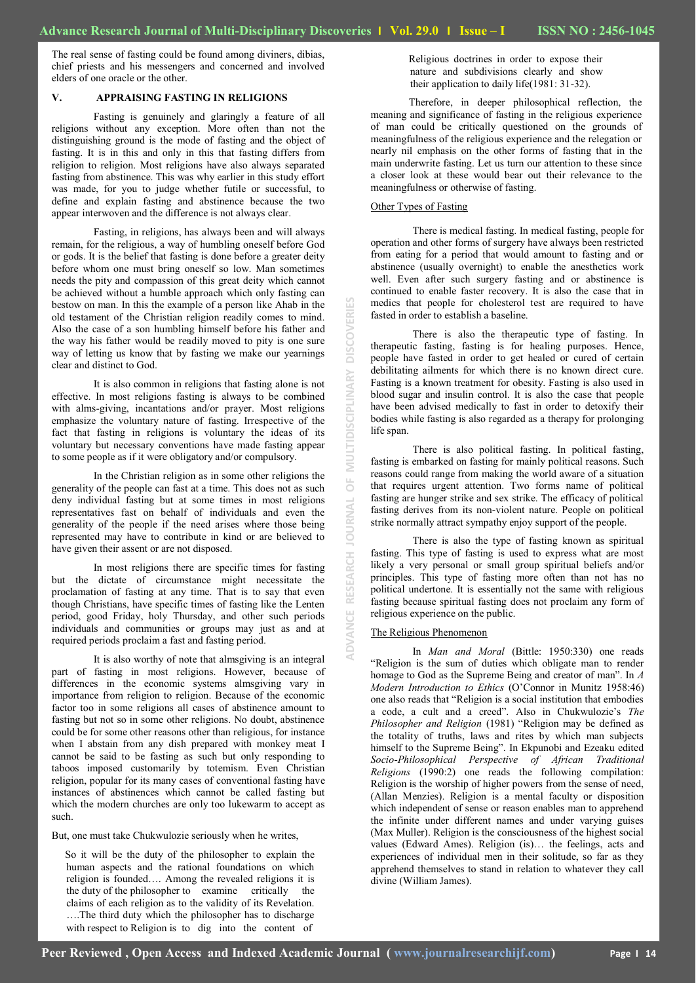**ADVANCE RESEARCH JOURNAL OF MULTIDISCIPLINARY DISCOVERIES**

 $\overline{0}$ 

**RNAL** 

DOI

**RESEARCH** 

**ANCE** 

E

**DISCOV** 

MULTIDISCIPLINARY

The real sense of fasting could be found among diviners, dibias, chief priests and his messengers and concerned and involved elders of one oracle or the other.

#### **V. APPRAISING FASTING IN RELIGIONS**

Fasting is genuinely and glaringly a feature of all religions without any exception. More often than not the distinguishing ground is the mode of fasting and the object of fasting. It is in this and only in this that fasting differs from religion to religion. Most religions have also always separated fasting from abstinence. This was why earlier in this study effort was made, for you to judge whether futile or successful, to define and explain fasting and abstinence because the two appear interwoven and the difference is not always clear.

Fasting, in religions, has always been and will always remain, for the religious, a way of humbling oneself before God or gods. It is the belief that fasting is done before a greater deity before whom one must bring oneself so low. Man sometimes needs the pity and compassion of this great deity which cannot be achieved without a humble approach which only fasting can bestow on man. In this the example of a person like Ahab in the old testament of the Christian religion readily comes to mind. Also the case of a son humbling himself before his father and the way his father would be readily moved to pity is one sure way of letting us know that by fasting we make our yearnings clear and distinct to God.

It is also common in religions that fasting alone is not effective. In most religions fasting is always to be combined with alms-giving, incantations and/or prayer. Most religions emphasize the voluntary nature of fasting. Irrespective of the fact that fasting in religions is voluntary the ideas of its voluntary but necessary conventions have made fasting appear to some people as if it were obligatory and/or compulsory.

In the Christian religion as in some other religions the generality of the people can fast at a time. This does not as such deny individual fasting but at some times in most religions representatives fast on behalf of individuals and even the generality of the people if the need arises where those being represented may have to contribute in kind or are believed to have given their assent or are not disposed.

In most religions there are specific times for fasting but the dictate of circumstance might necessitate the proclamation of fasting at any time. That is to say that even though Christians, have specific times of fasting like the Lenten period, good Friday, holy Thursday, and other such periods individuals and communities or groups may just as and at required periods proclaim a fast and fasting period.

It is also worthy of note that almsgiving is an integral part of fasting in most religions. However, because of differences in the economic systems almsgiving vary in importance from religion to religion. Because of the economic factor too in some religions all cases of abstinence amount to fasting but not so in some other religions. No doubt, abstinence could be for some other reasons other than religious, for instance when I abstain from any dish prepared with monkey meat I cannot be said to be fasting as such but only responding to taboos imposed customarily by totemism. Even Christian religion, popular for its many cases of conventional fasting have instances of abstinences which cannot be called fasting but which the modern churches are only too lukewarm to accept as such.

But, one must take Chukwulozie seriously when he writes,

So it will be the duty of the philosopher to explain the human aspects and the rational foundations on which religion is founded…. Among the revealed religions it is the duty of the philosopher to examine critically the claims of each religion as to the validity of its Revelation. ….The third duty which the philosopher has to discharge with respect to Religion is to dig into the content of

Religious doctrines in order to expose their nature and subdivisions clearly and show their application to daily life(1981: 31-32).

Therefore, in deeper philosophical reflection, the meaning and significance of fasting in the religious experience of man could be critically questioned on the grounds of meaningfulness of the religious experience and the relegation or nearly nil emphasis on the other forms of fasting that in the main underwrite fasting. Let us turn our attention to these since a closer look at these would bear out their relevance to the meaningfulness or otherwise of fasting.

#### Other Types of Fasting

There is medical fasting. In medical fasting, people for operation and other forms of surgery have always been restricted from eating for a period that would amount to fasting and or abstinence (usually overnight) to enable the anesthetics work well. Even after such surgery fasting and or abstinence is continued to enable faster recovery. It is also the case that in medics that people for cholesterol test are required to have fasted in order to establish a baseline.

There is also the therapeutic type of fasting. In therapeutic fasting, fasting is for healing purposes. Hence, people have fasted in order to get healed or cured of certain debilitating ailments for which there is no known direct cure. Fasting is a known treatment for obesity. Fasting is also used in blood sugar and insulin control. It is also the case that people have been advised medically to fast in order to detoxify their bodies while fasting is also regarded as a therapy for prolonging life span.

There is also political fasting. In political fasting, fasting is embarked on fasting for mainly political reasons. Such reasons could range from making the world aware of a situation that requires urgent attention. Two forms name of political fasting are hunger strike and sex strike. The efficacy of political fasting derives from its non-violent nature. People on political strike normally attract sympathy enjoy support of the people.

There is also the type of fasting known as spiritual fasting. This type of fasting is used to express what are most likely a very personal or small group spiritual beliefs and/or principles. This type of fasting more often than not has no political undertone. It is essentially not the same with religious fasting because spiritual fasting does not proclaim any form of religious experience on the public.

#### The Religious Phenomenon

In *Man and Moral* (Bittle: 1950:330) one reads "Religion is the sum of duties which obligate man to render homage to God as the Supreme Being and creator of man". In *A Modern Introduction to Ethics* (O"Connor in Munitz 1958:46) one also reads that "Religion is a social institution that embodies a code, a cult and a creed". Also in Chukwulozie"s *The Philosopher and Religion* (1981) "Religion may be defined as the totality of truths, laws and rites by which man subjects himself to the Supreme Being". In Ekpunobi and Ezeaku edited *Socio-Philosophical Perspective of African Traditional Religions* (1990:2) one reads the following compilation: Religion is the worship of higher powers from the sense of need, (Allan Menzies). Religion is a mental faculty or disposition which independent of sense or reason enables man to apprehend the infinite under different names and under varying guises (Max Muller). Religion is the consciousness of the highest social values (Edward Ames). Religion (is)… the feelings, acts and experiences of individual men in their solitude, so far as they apprehend themselves to stand in relation to whatever they call divine (William James).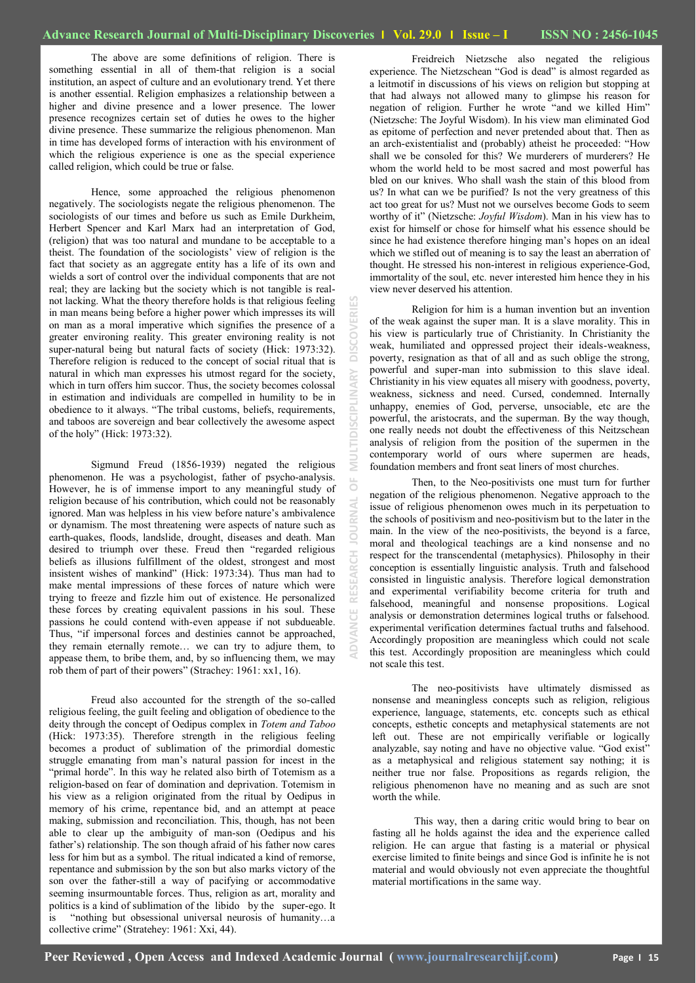**ADVANCE RESEARCH JOURNAL OF MULTIDISCIPLINARY DISCOVERIES**ö

The above are some definitions of religion. There is something essential in all of them-that religion is a social institution, an aspect of culture and an evolutionary trend. Yet there is another essential. Religion emphasizes a relationship between a higher and divine presence and a lower presence. The lower presence recognizes certain set of duties he owes to the higher divine presence. These summarize the religious phenomenon. Man in time has developed forms of interaction with his environment of which the religious experience is one as the special experience called religion, which could be true or false.

Hence, some approached the religious phenomenon negatively. The sociologists negate the religious phenomenon. The sociologists of our times and before us such as Emile Durkheim, Herbert Spencer and Karl Marx had an interpretation of God, (religion) that was too natural and mundane to be acceptable to a theist. The foundation of the sociologists' view of religion is the fact that society as an aggregate entity has a life of its own and wields a sort of control over the individual components that are not real; they are lacking but the society which is not tangible is realnot lacking. What the theory therefore holds is that religious feeling in man means being before a higher power which impresses its will on man as a moral imperative which signifies the presence of a greater environing reality. This greater environing reality is not super-natural being but natural facts of society (Hick: 1973:32). Therefore religion is reduced to the concept of social ritual that is natural in which man expresses his utmost regard for the society, which in turn offers him succor. Thus, the society becomes colossal in estimation and individuals are compelled in humility to be in obedience to it always. "The tribal customs, beliefs, requirements, and taboos are sovereign and bear collectively the awesome aspect of the holy" (Hick: 1973:32).

Sigmund Freud (1856-1939) negated the religious phenomenon. He was a psychologist, father of psycho-analysis. However, he is of immense import to any meaningful study of religion because of his contribution, which could not be reasonably ignored. Man was helpless in his view before nature"s ambivalence or dynamism. The most threatening were aspects of nature such as earth-quakes, floods, landslide, drought, diseases and death. Man desired to triumph over these. Freud then "regarded religious beliefs as illusions fulfillment of the oldest, strongest and most insistent wishes of mankind" (Hick: 1973:34). Thus man had to make mental impressions of these forces of nature which were trying to freeze and fizzle him out of existence. He personalized these forces by creating equivalent passions in his soul. These passions he could contend with-even appease if not subdueable. Thus, "if impersonal forces and destinies cannot be approached, they remain eternally remote… we can try to adjure them, to appease them, to bribe them, and, by so influencing them, we may rob them of part of their powers" (Strachey: 1961: xx1, 16).

Freud also accounted for the strength of the so-called religious feeling, the guilt feeling and obligation of obedience to the deity through the concept of Oedipus complex in *Totem and Taboo* (Hick: 1973:35). Therefore strength in the religious feeling becomes a product of sublimation of the primordial domestic struggle emanating from man"s natural passion for incest in the "primal horde". In this way he related also birth of Totemism as a religion-based on fear of domination and deprivation. Totemism in his view as a religion originated from the ritual by Oedipus in memory of his crime, repentance bid, and an attempt at peace making, submission and reconciliation. This, though, has not been able to clear up the ambiguity of man-son (Oedipus and his father"s) relationship. The son though afraid of his father now cares less for him but as a symbol. The ritual indicated a kind of remorse, repentance and submission by the son but also marks victory of the son over the father-still a way of pacifying or accommodative seeming insurmountable forces. Thus, religion as art, morality and politics is a kind of sublimation of the libido by the super-ego. It is "nothing but obsessional universal neurosis of humanity…a collective crime" (Stratehey: 1961: Xxi, 44).

Freidreich Nietzsche also negated the religious experience. The Nietzschean "God is dead" is almost regarded as a leitmotif in discussions of his views on religion but stopping at that had always not allowed many to glimpse his reason for negation of religion. Further he wrote "and we killed Him" (Nietzsche: The Joyful Wisdom). In his view man eliminated God as epitome of perfection and never pretended about that. Then as an arch-existentialist and (probably) atheist he proceeded: "How shall we be consoled for this? We murderers of murderers? He whom the world held to be most sacred and most powerful has bled on our knives. Who shall wash the stain of this blood from us? In what can we be purified? Is not the very greatness of this act too great for us? Must not we ourselves become Gods to seem worthy of it" (Nietzsche: *Joyful Wisdom*). Man in his view has to exist for himself or chose for himself what his essence should be since he had existence therefore hinging man"s hopes on an ideal which we stifled out of meaning is to say the least an aberration of thought. He stressed his non-interest in religious experience-God, immortality of the soul, etc. never interested him hence they in his view never deserved his attention.

Religion for him is a human invention but an invention of the weak against the super man. It is a slave morality. This in his view is particularly true of Christianity. In Christianity the weak, humiliated and oppressed project their ideals-weakness, poverty, resignation as that of all and as such oblige the strong, powerful and super-man into submission to this slave ideal. Christianity in his view equates all misery with goodness, poverty, weakness, sickness and need. Cursed, condemned. Internally unhappy, enemies of God, perverse, unsociable, etc are the powerful, the aristocrats, and the superman. By the way though, one really needs not doubt the effectiveness of this Neitzschean analysis of religion from the position of the supermen in the contemporary world of ours where supermen are heads, foundation members and front seat liners of most churches.

Then, to the Neo-positivists one must turn for further negation of the religious phenomenon. Negative approach to the issue of religious phenomenon owes much in its perpetuation to the schools of positivism and neo-positivism but to the later in the main. In the view of the neo-positivists, the beyond is a farce, moral and theological teachings are a kind nonsense and no respect for the transcendental (metaphysics). Philosophy in their conception is essentially linguistic analysis. Truth and falsehood consisted in linguistic analysis. Therefore logical demonstration and experimental verifiability become criteria for truth and falsehood, meaningful and nonsense propositions. Logical analysis or demonstration determines logical truths or falsehood. experimental verification determines factual truths and falsehood. Accordingly proposition are meaningless which could not scale this test. Accordingly proposition are meaningless which could not scale this test.

The neo-positivists have ultimately dismissed as nonsense and meaningless concepts such as religion, religious experience, language, statements, etc. concepts such as ethical concepts, esthetic concepts and metaphysical statements are not left out. These are not empirically verifiable or logically analyzable, say noting and have no objective value. "God exist" as a metaphysical and religious statement say nothing; it is neither true nor false. Propositions as regards religion, the religious phenomenon have no meaning and as such are snot worth the while.

This way, then a daring critic would bring to bear on fasting all he holds against the idea and the experience called religion. He can argue that fasting is a material or physical exercise limited to finite beings and since God is infinite he is not material and would obviously not even appreciate the thoughtful material mortifications in the same way.